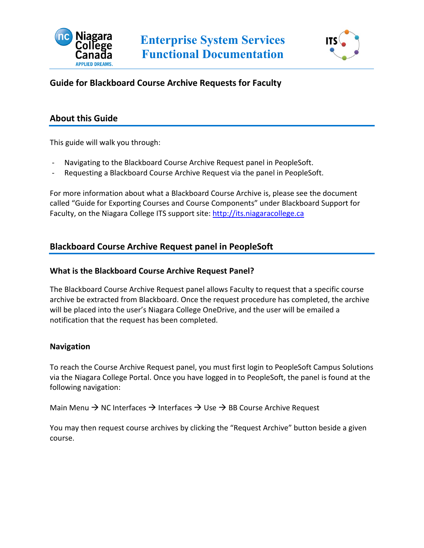



## **Guide for Blackboard Course Archive Requests for Faculty**

## **About this Guide**

This guide will walk you through:

- Navigating to the Blackboard Course Archive Request panel in PeopleSoft.
- Requesting a Blackboard Course Archive Request via the panel in PeopleSoft.

For more information about what a Blackboard Course Archive is, please see the document called "Guide for Exporting Courses and Course Components" under Blackboard Support for Faculty, on the Niagara College ITS support site: [http://its.niagaracollege.ca](http://its.niagaracollege.ca/)

## **Blackboard Course Archive Request panel in PeopleSoft**

#### **What is the Blackboard Course Archive Request Panel?**

The Blackboard Course Archive Request panel allows Faculty to request that a specific course archive be extracted from Blackboard. Once the request procedure has completed, the archive will be placed into the user's Niagara College OneDrive, and the user will be emailed a notification that the request has been completed.

## **Navigation**

To reach the Course Archive Request panel, you must first login to PeopleSoft Campus Solutions via the Niagara College Portal. Once you have logged in to PeopleSoft, the panel is found at the following navigation:

Main Menu  $\rightarrow$  NC Interfaces  $\rightarrow$  Interfaces  $\rightarrow$  Use  $\rightarrow$  BB Course Archive Request

You may then request course archives by clicking the "Request Archive" button beside a given course.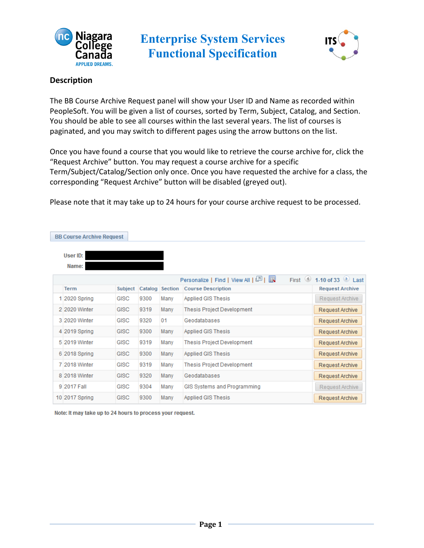



## **Description**

The BB Course Archive Request panel will show your User ID and Name as recorded within PeopleSoft. You will be given a list of courses, sorted by Term, Subject, Catalog, and Section. You should be able to see all courses within the last several years. The list of courses is paginated, and you may switch to different pages using the arrow buttons on the list.

Once you have found a course that you would like to retrieve the course archive for, click the "Request Archive" button. You may request a course archive for a specific Term/Subject/Catalog/Section only once. Once you have requested the archive for a class, the corresponding "Request Archive" button will be disabled (greyed out).

Please note that it may take up to 24 hours for your course archive request to be processed.

| <b>BB Course Archive Request</b> |                |      |                 |                                                               |                           |
|----------------------------------|----------------|------|-----------------|---------------------------------------------------------------|---------------------------|
| User ID:<br>Name:                |                |      |                 |                                                               |                           |
|                                  |                |      |                 | First $\circledcirc$<br>Personalize   Find   View All   그   표 | 1-10 of 33 $\bullet$ Last |
| <b>Term</b>                      | <b>Subject</b> |      | Catalog Section | <b>Course Description</b>                                     | <b>Request Archive</b>    |
| 1 2020 Spring                    | <b>GISC</b>    | 9300 | Many            | Applied GIS Thesis                                            | Request Archive           |
| 2 2020 Winter                    | <b>GISC</b>    | 9319 | Many            | <b>Thesis Project Development</b>                             | Request Archive           |
| 3 2020 Winter                    | <b>GISC</b>    | 9320 | 01              | Geodatabases                                                  | Request Archive           |
| 4 2019 Spring                    | <b>GISC</b>    | 9300 | Many            | Applied GIS Thesis                                            | Request Archive           |
| 5 2019 Winter                    | <b>GISC</b>    | 9319 | Many            | <b>Thesis Project Development</b>                             | Request Archive           |
| 6 2018 Spring                    | <b>GISC</b>    | 9300 | Many            | Applied GIS Thesis                                            | Request Archive           |
| 7 2018 Winter                    | <b>GISC</b>    | 9319 | Many            | <b>Thesis Project Development</b>                             | Request Archive           |
| 8 2018 Winter                    | <b>GISC</b>    | 9320 | Many            | Geodatabases                                                  | Request Archive           |
| 9 2017 Fall                      | <b>GISC</b>    | 9304 | Many            | GIS Systems and Programming                                   | Request Archive           |
| 10 2017 Spring                   | <b>GISC</b>    | 9300 | Many            | Applied GIS Thesis                                            | Request Archive           |

Note: It may take up to 24 hours to process your request.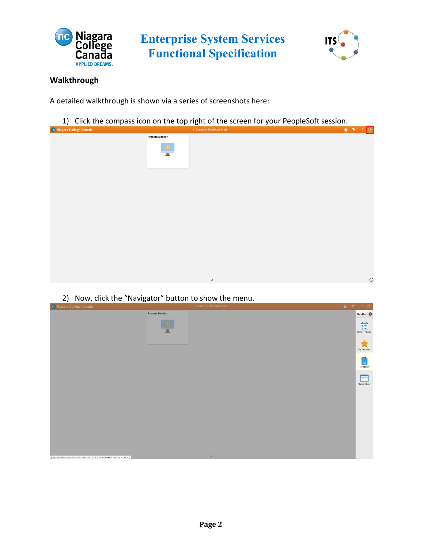



# **Walkthrough**

A detailed walkthrough is shown via a series of screenshots here:

1) Click the compass icon on the top right of the screen for your PeopleSoft session.



2) Now, click the "Navigator" button to show the menu.

| nc Niagara College Canada                                                     | Campus Solutions User  | 合产 | $\circledcirc$<br>$\ddot{x}$               |
|-------------------------------------------------------------------------------|------------------------|----|--------------------------------------------|
|                                                                               | <b>Process Monitor</b> |    | NavBar                                     |
|                                                                               | 展                      |    | $\overline{\odot}$<br><b>Recent Places</b> |
|                                                                               |                        |    | <b>My Favorites</b>                        |
|                                                                               |                        |    | E<br>Navigator                             |
|                                                                               |                        |    | --<br><b>Classic Home</b>                  |
|                                                                               |                        |    |                                            |
|                                                                               |                        |    |                                            |
|                                                                               |                        |    |                                            |
|                                                                               |                        |    |                                            |
| javascriptsubmitAction_win1(document.win1,'PTNUI_NB_HDRWRK_PTNUI_NB_ACTION'); | $\circ$                |    |                                            |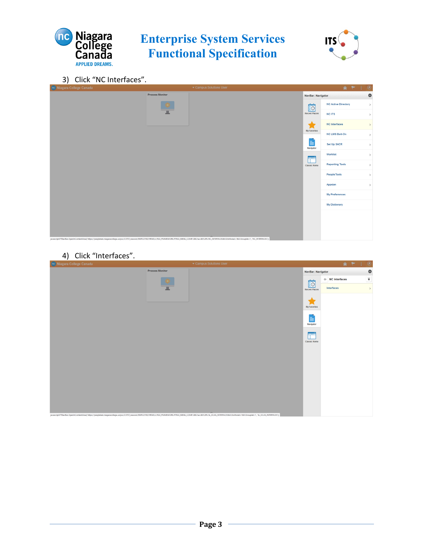



3) Click "NC Interfaces".



#### 4) Click "Interfaces".

| <b>Process Monitor</b><br>۰<br>NavBar: Navigator<br>$\overline{\bullet}$<br>$\Leftarrow$ NC Interfaces<br>io<br>Interfaces<br>$\,$<br><b>Recent Places</b><br><b>My Favorites</b><br>E<br>Navigator<br>F<br><b>Classic Home</b> | $\overline{\phantom{a}}$<br>no Niagara College Canada | ▼ Campus Solutions User |  | 合一 | $\circledcirc$<br>÷ |  |  |
|---------------------------------------------------------------------------------------------------------------------------------------------------------------------------------------------------------------------------------|-------------------------------------------------------|-------------------------|--|----|---------------------|--|--|
|                                                                                                                                                                                                                                 |                                                       |                         |  |    |                     |  |  |
|                                                                                                                                                                                                                                 |                                                       |                         |  |    |                     |  |  |
|                                                                                                                                                                                                                                 |                                                       |                         |  |    |                     |  |  |
|                                                                                                                                                                                                                                 |                                                       |                         |  |    |                     |  |  |
|                                                                                                                                                                                                                                 |                                                       |                         |  |    |                     |  |  |
|                                                                                                                                                                                                                                 |                                                       |                         |  |    |                     |  |  |
|                                                                                                                                                                                                                                 |                                                       |                         |  |    |                     |  |  |
|                                                                                                                                                                                                                                 |                                                       |                         |  |    |                     |  |  |
|                                                                                                                                                                                                                                 |                                                       |                         |  |    |                     |  |  |
|                                                                                                                                                                                                                                 |                                                       |                         |  |    |                     |  |  |
| javascriptPTNavBar.OpenInContentArea('https://peopletest.niagaracollege.ca/psc/CSTST_newwin/EMPLOYEE/HRMS/c/NUI_FRAMEWORK.PTNUI_MENU_COMP.GBL?sa=&FLDR=SL_OCAS_INTERFACES&ICDoModal=1&ICGrouplet=1', 'SL_OCAS_INTERFACES');     |                                                       |                         |  |    |                     |  |  |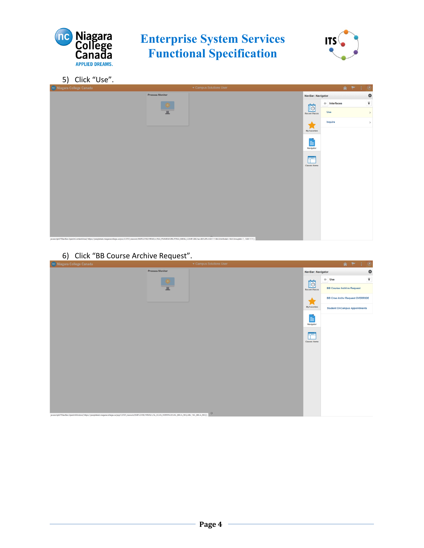



5) Click "Use".



6) Click "BB Course Archive Request".

| nc Niagara College Canada                                                                                                                                   |                        | ▼ Campus Solutions User |                           | $\circledcirc$<br>$A$ $\uparrow$<br>÷                                                       |
|-------------------------------------------------------------------------------------------------------------------------------------------------------------|------------------------|-------------------------|---------------------------|---------------------------------------------------------------------------------------------|
|                                                                                                                                                             | <b>Process Monitor</b> |                         | <b>NavBar: Navigator</b>  | ۰                                                                                           |
|                                                                                                                                                             |                        |                         | io                        | $\overline{\bullet}$<br>$\begin{array}{ c c } \hline \textbf{u} & \textbf{Use} \end{array}$ |
|                                                                                                                                                             | п                      |                         | <b>Recent Places</b>      | <b>BB Course Archive Request</b>                                                            |
|                                                                                                                                                             |                        |                         |                           | <b>BB Crse Archy Request OVERRIDE</b>                                                       |
|                                                                                                                                                             |                        |                         | My Favorites              | <b>Student OnCampus Appointments</b>                                                        |
|                                                                                                                                                             |                        |                         | E<br>Navigator            |                                                                                             |
|                                                                                                                                                             |                        |                         | ╔═<br><b>Classic Home</b> |                                                                                             |
|                                                                                                                                                             |                        |                         |                           |                                                                                             |
|                                                                                                                                                             |                        |                         |                           |                                                                                             |
|                                                                                                                                                             |                        |                         |                           |                                                                                             |
|                                                                                                                                                             |                        |                         |                           |                                                                                             |
|                                                                                                                                                             |                        |                         |                           |                                                                                             |
|                                                                                                                                                             |                        |                         |                           |                                                                                             |
|                                                                                                                                                             |                        |                         |                           |                                                                                             |
| javascript:PTNavBar.OpenInWindow('https://peopletest.niagaracollege.ca/psp/CSTST_newwin/EMPLOYEE/HRMS/c/SL_OCAS_INTERFACES.NC_BBCA_REQ.GBL','NC_BBCA_REQ'); |                        | $\circ$                 |                           |                                                                                             |